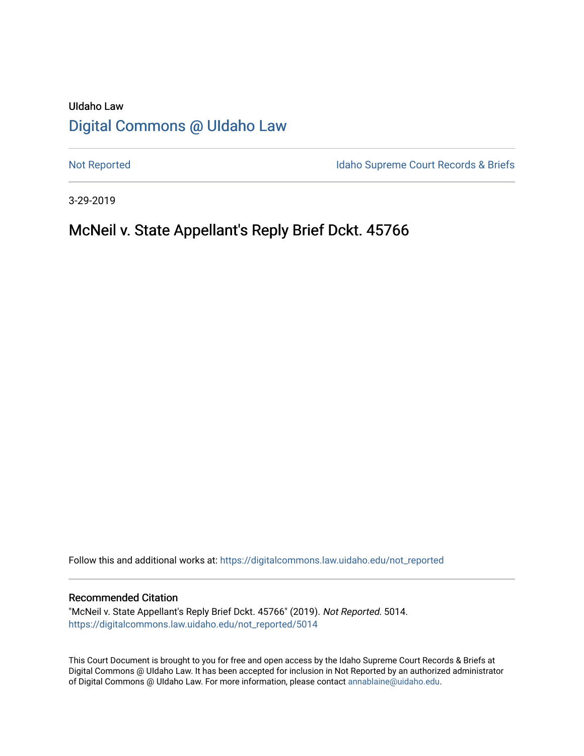# UIdaho Law [Digital Commons @ UIdaho Law](https://digitalcommons.law.uidaho.edu/)

[Not Reported](https://digitalcommons.law.uidaho.edu/not_reported) **Idaho Supreme Court Records & Briefs** 

3-29-2019

# McNeil v. State Appellant's Reply Brief Dckt. 45766

Follow this and additional works at: [https://digitalcommons.law.uidaho.edu/not\\_reported](https://digitalcommons.law.uidaho.edu/not_reported?utm_source=digitalcommons.law.uidaho.edu%2Fnot_reported%2F5014&utm_medium=PDF&utm_campaign=PDFCoverPages) 

### Recommended Citation

"McNeil v. State Appellant's Reply Brief Dckt. 45766" (2019). Not Reported. 5014. [https://digitalcommons.law.uidaho.edu/not\\_reported/5014](https://digitalcommons.law.uidaho.edu/not_reported/5014?utm_source=digitalcommons.law.uidaho.edu%2Fnot_reported%2F5014&utm_medium=PDF&utm_campaign=PDFCoverPages)

This Court Document is brought to you for free and open access by the Idaho Supreme Court Records & Briefs at Digital Commons @ UIdaho Law. It has been accepted for inclusion in Not Reported by an authorized administrator of Digital Commons @ UIdaho Law. For more information, please contact [annablaine@uidaho.edu](mailto:annablaine@uidaho.edu).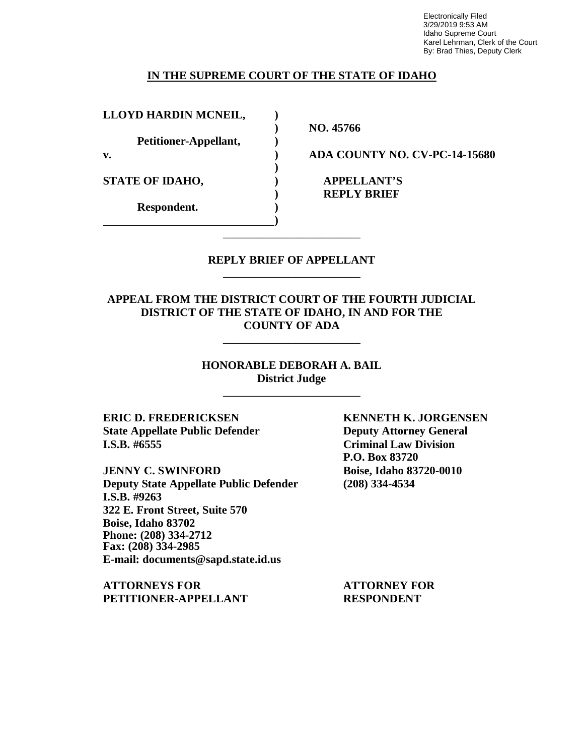Electronically Filed 3/29/2019 9:53 AM Idaho Supreme Court Karel Lehrman, Clerk of the Court By: Brad Thies, Deputy Clerk

### **IN THE SUPREME COURT OF THE STATE OF IDAHO**

**)**

**)**

**LLOYD HARDIN MCNEIL, )**

**Petitioner-Appellant, )**

**STATE OF IDAHO, ) APPELLANT'S**

**Respondent. )**

**) NO. 45766**

**v. ) ADA COUNTY NO. CV-PC-14-15680**

**) REPLY BRIEF**

## **REPLY BRIEF OF APPELLANT** \_\_\_\_\_\_\_\_\_\_\_\_\_\_\_\_\_\_\_\_\_\_\_\_

\_\_\_\_\_\_\_\_\_\_\_\_\_\_\_\_\_\_\_\_\_\_\_\_

**APPEAL FROM THE DISTRICT COURT OF THE FOURTH JUDICIAL DISTRICT OF THE STATE OF IDAHO, IN AND FOR THE COUNTY OF ADA**

\_\_\_\_\_\_\_\_\_\_\_\_\_\_\_\_\_\_\_\_\_\_\_\_

**HONORABLE DEBORAH A. BAIL District Judge**

\_\_\_\_\_\_\_\_\_\_\_\_\_\_\_\_\_\_\_\_\_\_\_\_

**ERIC D. FREDERICKSEN KENNETH K. JORGENSEN State Appellate Public Defender Deputy Attorney General I.S.B. #6555 Criminal Law Division**

**JENNY C. SWINFORD Boise, Idaho 83720-0010 Deputy State Appellate Public Defender (208) 334-4534 I.S.B. #9263 322 E. Front Street, Suite 570 Boise, Idaho 83702 Phone: (208) 334-2712 Fax: (208) 334-2985 E-mail: documents@sapd.state.id.us**

**ATTORNEYS FOR ATTORNEY FOR PETITIONER-APPELLANT RESPONDENT**

**P.O. Box 83720**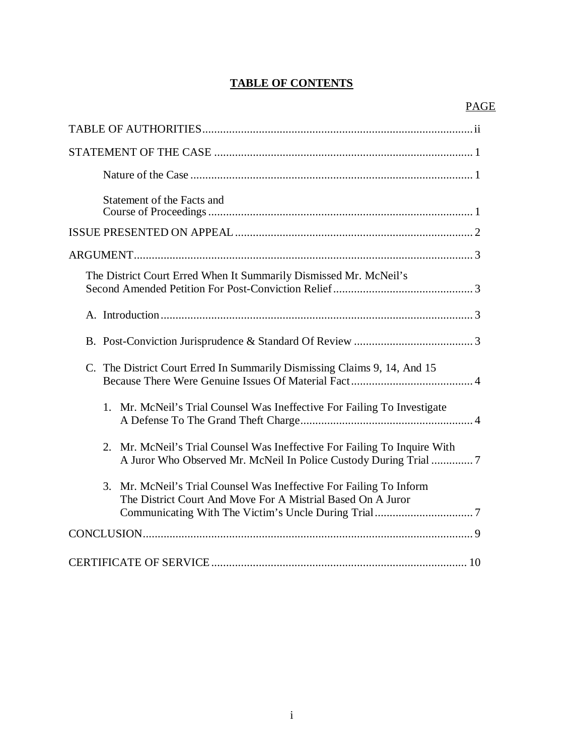## **TABLE OF CONTENTS**

| Statement of the Facts and                                                                                                                     |
|------------------------------------------------------------------------------------------------------------------------------------------------|
|                                                                                                                                                |
|                                                                                                                                                |
| The District Court Erred When It Summarily Dismissed Mr. McNeil's                                                                              |
|                                                                                                                                                |
|                                                                                                                                                |
| C. The District Court Erred In Summarily Dismissing Claims 9, 14, And 15                                                                       |
| Mr. McNeil's Trial Counsel Was Ineffective For Failing To Investigate<br>1 <sub>1</sub>                                                        |
| 2. Mr. McNeil's Trial Counsel Was Ineffective For Failing To Inquire With<br>A Juror Who Observed Mr. McNeil In Police Custody During Trial  7 |
| Mr. McNeil's Trial Counsel Was Ineffective For Failing To Inform<br>3.<br>The District Court And Move For A Mistrial Based On A Juror          |
|                                                                                                                                                |
|                                                                                                                                                |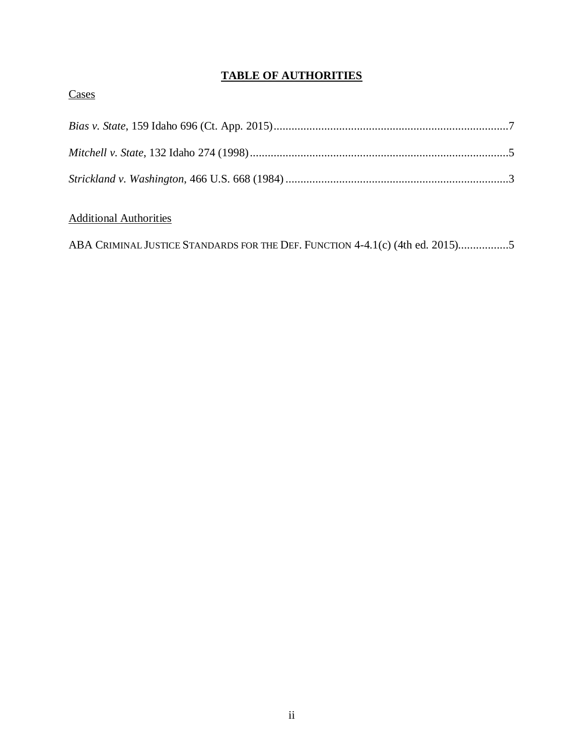# **TABLE OF AUTHORITIES**

## **Cases**

# Additional Authorities

|  |  | ABA CRIMINAL JUSTICE STANDARDS FOR THE DEF. FUNCTION 4-4.1(c) (4th ed. 2015)5 |  |  |  |  |  |  |  |
|--|--|-------------------------------------------------------------------------------|--|--|--|--|--|--|--|
|--|--|-------------------------------------------------------------------------------|--|--|--|--|--|--|--|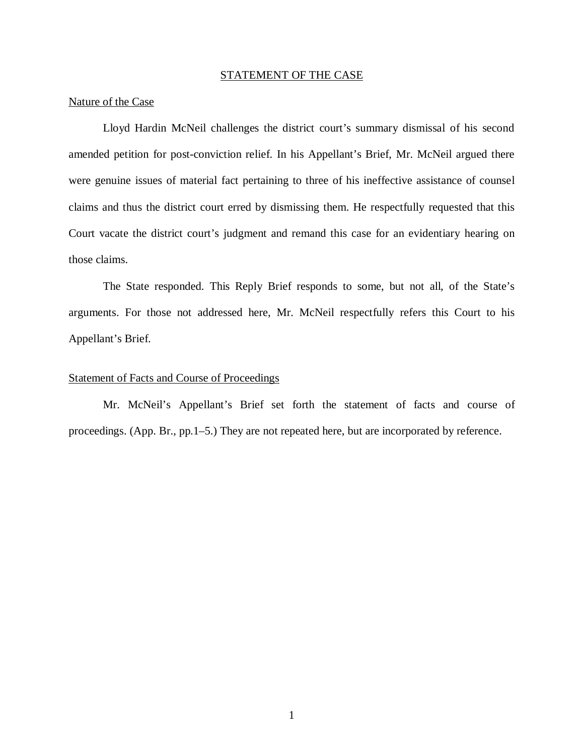### STATEMENT OF THE CASE

### Nature of the Case

Lloyd Hardin McNeil challenges the district court's summary dismissal of his second amended petition for post-conviction relief. In his Appellant's Brief, Mr. McNeil argued there were genuine issues of material fact pertaining to three of his ineffective assistance of counsel claims and thus the district court erred by dismissing them. He respectfully requested that this Court vacate the district court's judgment and remand this case for an evidentiary hearing on those claims.

The State responded. This Reply Brief responds to some, but not all, of the State's arguments. For those not addressed here, Mr. McNeil respectfully refers this Court to his Appellant's Brief.

### Statement of Facts and Course of Proceedings

Mr. McNeil's Appellant's Brief set forth the statement of facts and course of proceedings. (App. Br., pp.1–5.) They are not repeated here, but are incorporated by reference.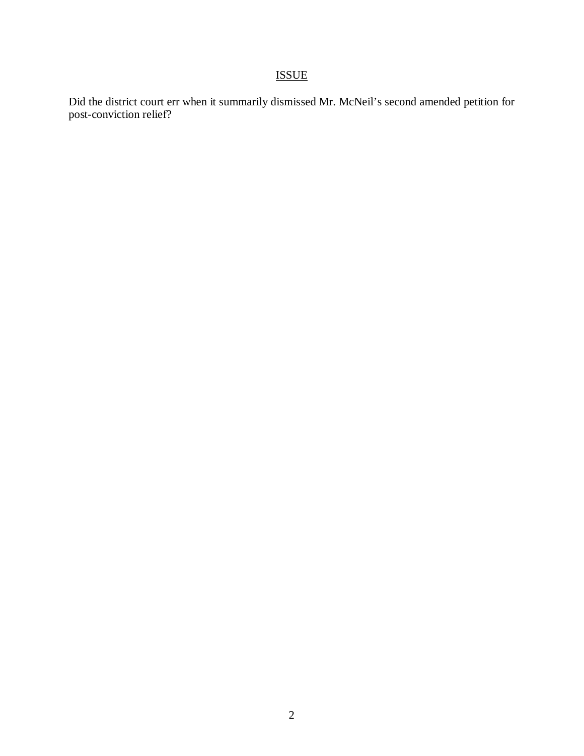# ISSUE

Did the district court err when it summarily dismissed Mr. McNeil's second amended petition for post-conviction relief?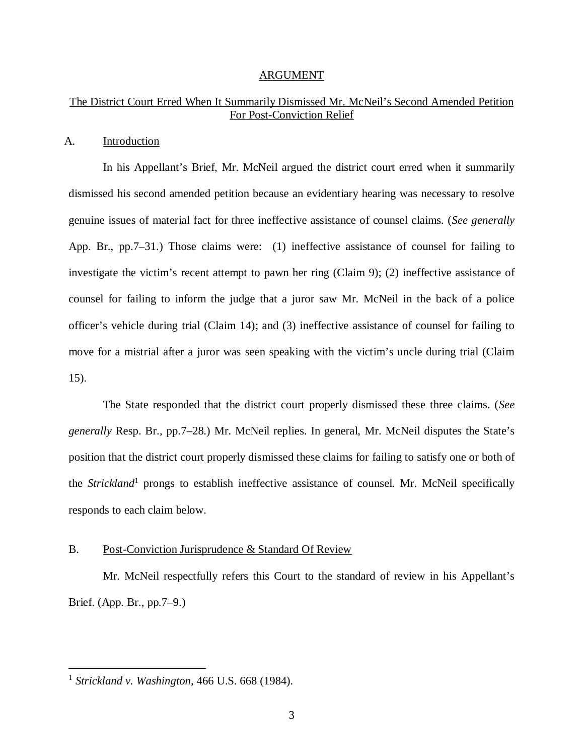#### ARGUMENT

## The District Court Erred When It Summarily Dismissed Mr. McNeil's Second Amended Petition For Post-Conviction Relief

### A. Introduction

In his Appellant's Brief, Mr. McNeil argued the district court erred when it summarily dismissed his second amended petition because an evidentiary hearing was necessary to resolve genuine issues of material fact for three ineffective assistance of counsel claims. (*See generally* App. Br., pp.7–31.) Those claims were: (1) ineffective assistance of counsel for failing to investigate the victim's recent attempt to pawn her ring (Claim 9); (2) ineffective assistance of counsel for failing to inform the judge that a juror saw Mr. McNeil in the back of a police officer's vehicle during trial (Claim 14); and (3) ineffective assistance of counsel for failing to move for a mistrial after a juror was seen speaking with the victim's uncle during trial (Claim 15).

The State responded that the district court properly dismissed these three claims. (*See generally* Resp. Br., pp.7–28.) Mr. McNeil replies. In general, Mr. McNeil disputes the State's position that the district court properly dismissed these claims for failing to satisfy one or both of the *Strickland*<sup>[1](#page-6-0)</sup> prongs to establish ineffective assistance of counsel. Mr. McNeil specifically responds to each claim below.

### B. Post-Conviction Jurisprudence & Standard Of Review

Mr. McNeil respectfully refers this Court to the standard of review in his Appellant's Brief. (App. Br., pp.7–9.)

<span id="page-6-0"></span><sup>1</sup> *Strickland v. Washington*, 466 U.S. 668 (1984).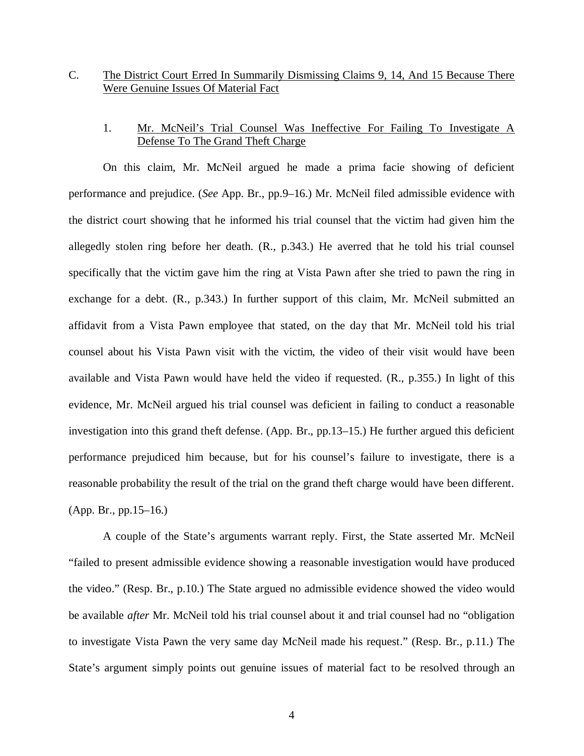## C. The District Court Erred In Summarily Dismissing Claims 9, 14, And 15 Because There Were Genuine Issues Of Material Fact

## 1. Mr. McNeil's Trial Counsel Was Ineffective For Failing To Investigate A Defense To The Grand Theft Charge

On this claim, Mr. McNeil argued he made a prima facie showing of deficient performance and prejudice. (*See* App. Br., pp.9–16.) Mr. McNeil filed admissible evidence with the district court showing that he informed his trial counsel that the victim had given him the allegedly stolen ring before her death. (R., p.343.) He averred that he told his trial counsel specifically that the victim gave him the ring at Vista Pawn after she tried to pawn the ring in exchange for a debt. (R., p.343.) In further support of this claim, Mr. McNeil submitted an affidavit from a Vista Pawn employee that stated, on the day that Mr. McNeil told his trial counsel about his Vista Pawn visit with the victim, the video of their visit would have been available and Vista Pawn would have held the video if requested. (R., p.355.) In light of this evidence, Mr. McNeil argued his trial counsel was deficient in failing to conduct a reasonable investigation into this grand theft defense. (App. Br., pp.13–15.) He further argued this deficient performance prejudiced him because, but for his counsel's failure to investigate, there is a reasonable probability the result of the trial on the grand theft charge would have been different. (App. Br., pp.15–16.)

A couple of the State's arguments warrant reply. First, the State asserted Mr. McNeil "failed to present admissible evidence showing a reasonable investigation would have produced the video." (Resp. Br., p.10.) The State argued no admissible evidence showed the video would be available *after* Mr. McNeil told his trial counsel about it and trial counsel had no "obligation to investigate Vista Pawn the very same day McNeil made his request." (Resp. Br., p.11.) The State's argument simply points out genuine issues of material fact to be resolved through an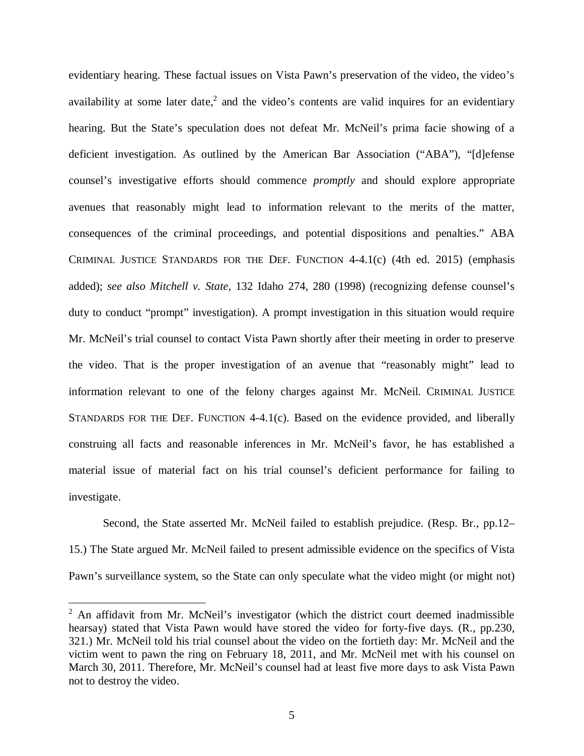evidentiary hearing. These factual issues on Vista Pawn's preservation of the video, the video's availability at some later date,<sup>[2](#page-8-0)</sup> and the video's contents are valid inquires for an evidentiary hearing. But the State's speculation does not defeat Mr. McNeil's prima facie showing of a deficient investigation. As outlined by the American Bar Association ("ABA"), "[d]efense counsel's investigative efforts should commence *promptly* and should explore appropriate avenues that reasonably might lead to information relevant to the merits of the matter, consequences of the criminal proceedings, and potential dispositions and penalties." ABA CRIMINAL JUSTICE STANDARDS FOR THE DEF. FUNCTION 4-4.1(c) (4th ed. 2015) (emphasis added); *see also Mitchell v. State*, 132 Idaho 274, 280 (1998) (recognizing defense counsel's duty to conduct "prompt" investigation). A prompt investigation in this situation would require Mr. McNeil's trial counsel to contact Vista Pawn shortly after their meeting in order to preserve the video. That is the proper investigation of an avenue that "reasonably might" lead to information relevant to one of the felony charges against Mr. McNeil. CRIMINAL JUSTICE STANDARDS FOR THE DEF. FUNCTION 4-4.1(c). Based on the evidence provided, and liberally construing all facts and reasonable inferences in Mr. McNeil's favor, he has established a material issue of material fact on his trial counsel's deficient performance for failing to investigate.

Second, the State asserted Mr. McNeil failed to establish prejudice. (Resp. Br., pp.12– 15.) The State argued Mr. McNeil failed to present admissible evidence on the specifics of Vista Pawn's surveillance system, so the State can only speculate what the video might (or might not)

<span id="page-8-0"></span> $2$  An affidavit from Mr. McNeil's investigator (which the district court deemed inadmissible hearsay) stated that Vista Pawn would have stored the video for forty-five days. (R., pp.230, 321.) Mr. McNeil told his trial counsel about the video on the fortieth day: Mr. McNeil and the victim went to pawn the ring on February 18, 2011, and Mr. McNeil met with his counsel on March 30, 2011. Therefore, Mr. McNeil's counsel had at least five more days to ask Vista Pawn not to destroy the video.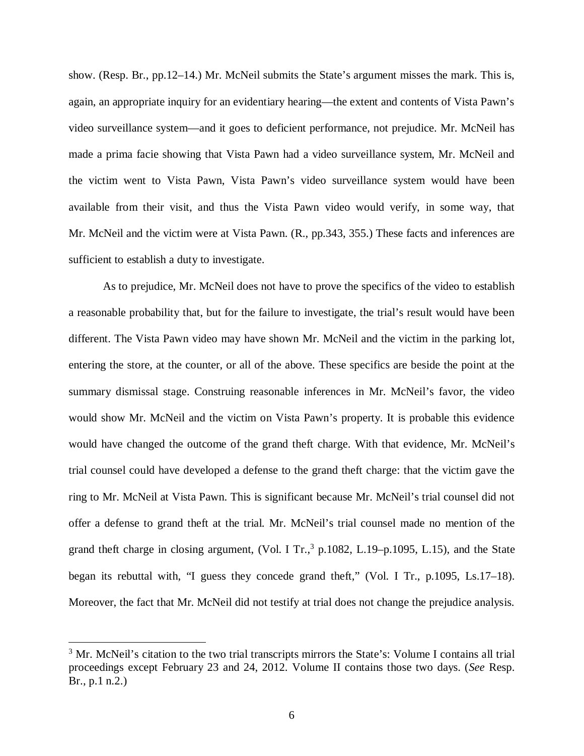show. (Resp. Br., pp.12–14.) Mr. McNeil submits the State's argument misses the mark. This is, again, an appropriate inquiry for an evidentiary hearing—the extent and contents of Vista Pawn's video surveillance system—and it goes to deficient performance, not prejudice. Mr. McNeil has made a prima facie showing that Vista Pawn had a video surveillance system, Mr. McNeil and the victim went to Vista Pawn, Vista Pawn's video surveillance system would have been available from their visit, and thus the Vista Pawn video would verify, in some way, that Mr. McNeil and the victim were at Vista Pawn. (R., pp.343, 355.) These facts and inferences are sufficient to establish a duty to investigate.

As to prejudice, Mr. McNeil does not have to prove the specifics of the video to establish a reasonable probability that, but for the failure to investigate, the trial's result would have been different. The Vista Pawn video may have shown Mr. McNeil and the victim in the parking lot, entering the store, at the counter, or all of the above. These specifics are beside the point at the summary dismissal stage. Construing reasonable inferences in Mr. McNeil's favor, the video would show Mr. McNeil and the victim on Vista Pawn's property. It is probable this evidence would have changed the outcome of the grand theft charge. With that evidence, Mr. McNeil's trial counsel could have developed a defense to the grand theft charge: that the victim gave the ring to Mr. McNeil at Vista Pawn. This is significant because Mr. McNeil's trial counsel did not offer a defense to grand theft at the trial. Mr. McNeil's trial counsel made no mention of the grand theft charge in closing argument, (Vol. I Tr., $3$  p.1082, L.19–p.1095, L.15), and the State began its rebuttal with, "I guess they concede grand theft," (Vol. I Tr., p.1095, Ls.17–18). Moreover, the fact that Mr. McNeil did not testify at trial does not change the prejudice analysis.

<span id="page-9-0"></span><sup>&</sup>lt;sup>3</sup> Mr. McNeil's citation to the two trial transcripts mirrors the State's: Volume I contains all trial proceedings except February 23 and 24, 2012. Volume II contains those two days. (*See* Resp. Br., p.1 n.2.)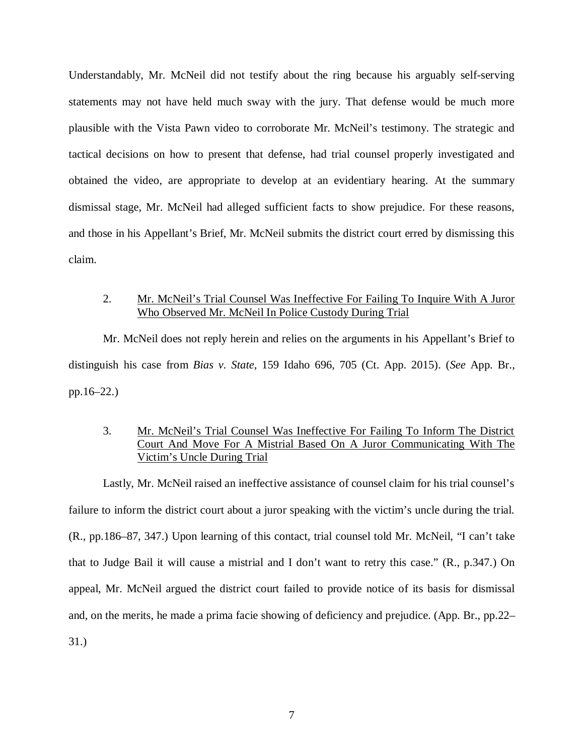Understandably, Mr. McNeil did not testify about the ring because his arguably self-serving statements may not have held much sway with the jury. That defense would be much more plausible with the Vista Pawn video to corroborate Mr. McNeil's testimony. The strategic and tactical decisions on how to present that defense, had trial counsel properly investigated and obtained the video, are appropriate to develop at an evidentiary hearing. At the summary dismissal stage, Mr. McNeil had alleged sufficient facts to show prejudice. For these reasons, and those in his Appellant's Brief, Mr. McNeil submits the district court erred by dismissing this claim.

## 2. Mr. McNeil's Trial Counsel Was Ineffective For Failing To Inquire With A Juror Who Observed Mr. McNeil In Police Custody During Trial

Mr. McNeil does not reply herein and relies on the arguments in his Appellant's Brief to distinguish his case from *Bias v. State*, 159 Idaho 696, 705 (Ct. App. 2015). (*See* App. Br., pp.16–22.)

## 3. Mr. McNeil's Trial Counsel Was Ineffective For Failing To Inform The District Court And Move For A Mistrial Based On A Juror Communicating With The Victim's Uncle During Trial

Lastly, Mr. McNeil raised an ineffective assistance of counsel claim for his trial counsel's failure to inform the district court about a juror speaking with the victim's uncle during the trial. (R., pp.186–87, 347.) Upon learning of this contact, trial counsel told Mr. McNeil, "I can't take that to Judge Bail it will cause a mistrial and I don't want to retry this case." (R., p.347.) On appeal, Mr. McNeil argued the district court failed to provide notice of its basis for dismissal and, on the merits, he made a prima facie showing of deficiency and prejudice. (App. Br., pp.22– 31.)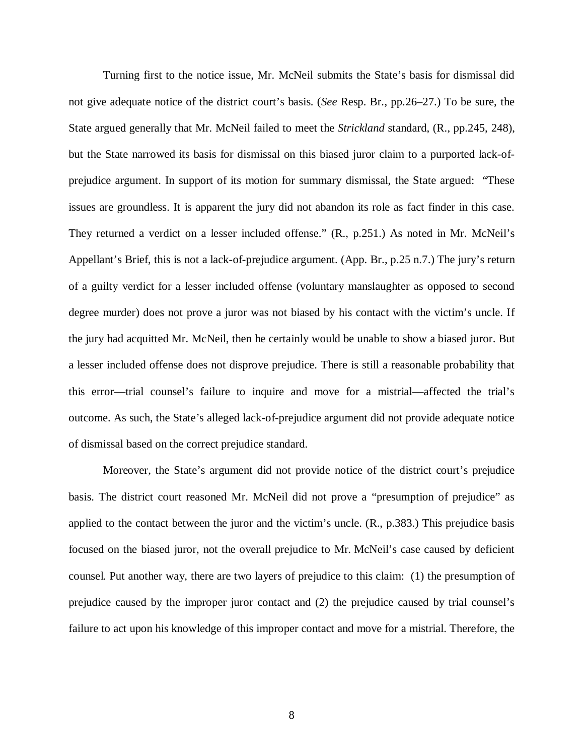Turning first to the notice issue, Mr. McNeil submits the State's basis for dismissal did not give adequate notice of the district court's basis. (*See* Resp. Br., pp.26–27.) To be sure, the State argued generally that Mr. McNeil failed to meet the *Strickland* standard, (R., pp.245, 248), but the State narrowed its basis for dismissal on this biased juror claim to a purported lack-ofprejudice argument. In support of its motion for summary dismissal, the State argued: "These issues are groundless. It is apparent the jury did not abandon its role as fact finder in this case. They returned a verdict on a lesser included offense." (R., p.251.) As noted in Mr. McNeil's Appellant's Brief, this is not a lack-of-prejudice argument. (App. Br., p.25 n.7.) The jury's return of a guilty verdict for a lesser included offense (voluntary manslaughter as opposed to second degree murder) does not prove a juror was not biased by his contact with the victim's uncle. If the jury had acquitted Mr. McNeil, then he certainly would be unable to show a biased juror. But a lesser included offense does not disprove prejudice. There is still a reasonable probability that this error—trial counsel's failure to inquire and move for a mistrial—affected the trial's outcome. As such, the State's alleged lack-of-prejudice argument did not provide adequate notice of dismissal based on the correct prejudice standard.

Moreover, the State's argument did not provide notice of the district court's prejudice basis. The district court reasoned Mr. McNeil did not prove a "presumption of prejudice" as applied to the contact between the juror and the victim's uncle. (R., p.383.) This prejudice basis focused on the biased juror, not the overall prejudice to Mr. McNeil's case caused by deficient counsel. Put another way, there are two layers of prejudice to this claim: (1) the presumption of prejudice caused by the improper juror contact and (2) the prejudice caused by trial counsel's failure to act upon his knowledge of this improper contact and move for a mistrial. Therefore, the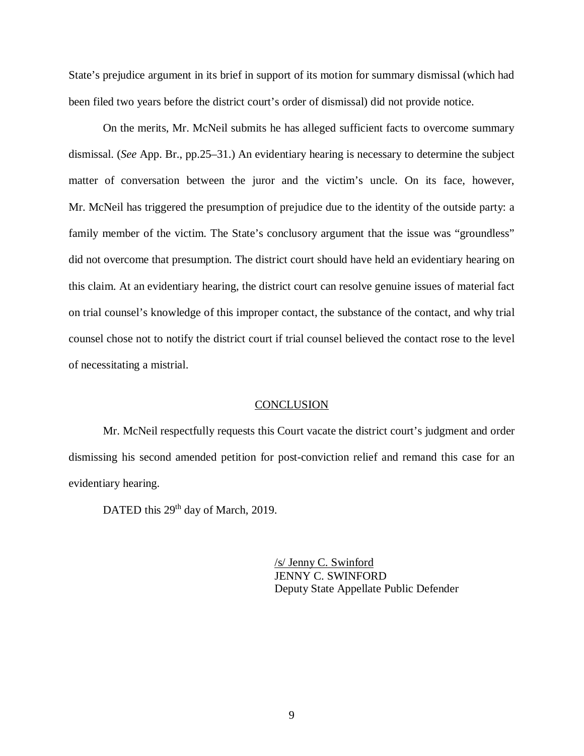State's prejudice argument in its brief in support of its motion for summary dismissal (which had been filed two years before the district court's order of dismissal) did not provide notice.

On the merits, Mr. McNeil submits he has alleged sufficient facts to overcome summary dismissal. (*See* App. Br., pp.25–31.) An evidentiary hearing is necessary to determine the subject matter of conversation between the juror and the victim's uncle. On its face, however, Mr. McNeil has triggered the presumption of prejudice due to the identity of the outside party: a family member of the victim. The State's conclusory argument that the issue was "groundless" did not overcome that presumption. The district court should have held an evidentiary hearing on this claim. At an evidentiary hearing, the district court can resolve genuine issues of material fact on trial counsel's knowledge of this improper contact, the substance of the contact, and why trial counsel chose not to notify the district court if trial counsel believed the contact rose to the level of necessitating a mistrial.

#### **CONCLUSION**

Mr. McNeil respectfully requests this Court vacate the district court's judgment and order dismissing his second amended petition for post-conviction relief and remand this case for an evidentiary hearing.

DATED this 29<sup>th</sup> day of March, 2019.

/s/ Jenny C. Swinford JENNY C. SWINFORD Deputy State Appellate Public Defender